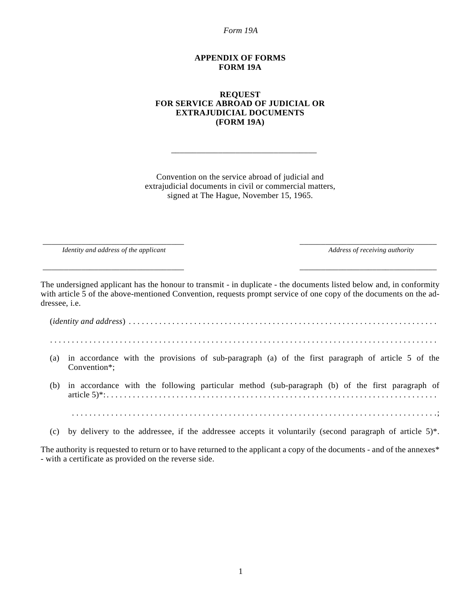*Form 19A*

#### **APPENDIX OF FORMS FORM 19A**

#### **REQUEST FOR SERVICE ABROAD OF JUDICIAL OR EXTRAJUDICIAL DOCUMENTS (FORM 19A)**

Convention on the service abroad of judicial and extrajudicial documents in civil or commercial matters, signed at The Hague, November 15, 1965.

\_\_\_\_\_\_\_\_\_\_\_\_\_\_\_\_\_\_\_\_\_\_\_\_\_\_\_\_\_\_\_\_\_\_

*Identity and address of the applicant* Address of receiving authority **Address of receiving authority** 

\_\_\_\_\_\_\_\_\_\_\_\_\_\_\_\_\_\_\_\_\_\_\_\_\_\_\_\_\_\_\_\_\_ \_\_\_\_\_\_\_\_\_\_\_\_\_\_\_\_\_\_\_\_\_\_\_\_\_\_\_\_\_\_\_\_

The undersigned applicant has the honour to transmit - in duplicate - the documents listed below and, in conformity with article 5 of the above-mentioned Convention, requests prompt service of one copy of the documents on the addressee, i.e.

\_\_\_\_\_\_\_\_\_\_\_\_\_\_\_\_\_\_\_\_\_\_\_\_\_\_\_\_\_\_\_\_\_ \_\_\_\_\_\_\_\_\_\_\_\_\_\_\_\_\_\_\_\_\_\_\_\_\_\_\_\_\_\_\_\_

(*identity and address*) . . . . . . . . . . . . . . . . . . . . . . . . . . . . . . . . . . . . . . . . . . . . . . . . . . . . . . . . . . . . . . . . . . . . . . .

. . . . . . . . . . . . . . . . . . . . . . . . . . . . . . . . . . . . . . . . . . . . . . . . . . . . . . . . . . . . . . . . . . . . . . . . . . . . . . . . . . . . . . . . .

- (a) in accordance with the provisions of sub-paragraph (a) of the first paragraph of article 5 of the Convention\*;
- (b) in accordance with the following particular method (sub-paragraph (b) of the first paragraph of article 5)\*: . . . . . . . . . . . . . . . . . . . . . . . . . . . . . . . . . . . . . . . . . . . . . . . . . . . . . . . . . . . . . . . . . . . . . . . . . . . .
- (c) by delivery to the addressee, if the addressee accepts it voluntarily (second paragraph of article  $5$ )\*.

. . . . . . . . . . . . . . . . . . . . . . . . . . . . . . . . . . . . . . . . . . . . . . . . . . . . . . . . . . . . . . . . . . . . . . . . . . . . . . . . . . . .;

The authority is requested to return or to have returned to the applicant a copy of the documents - and of the annexes\* - with a certificate as provided on the reverse side.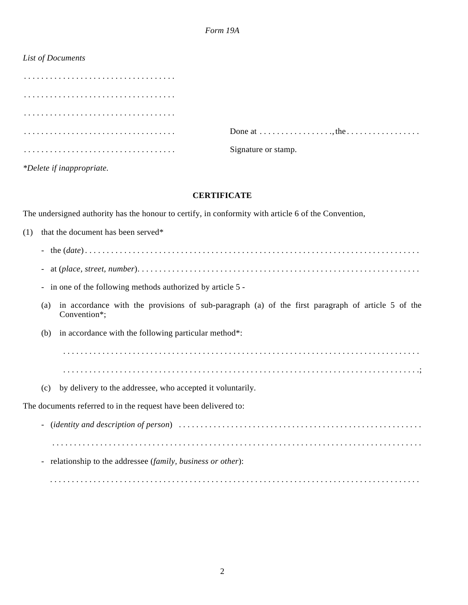# *List of Documents*

| Done at $\dots \dots \dots \dots \dots$ , the $\dots \dots \dots \dots \dots$ |
|-------------------------------------------------------------------------------|
| Signature or stamp.                                                           |

*\*Delete if inappropriate.*

## **CERTIFICATE**

The undersigned authority has the honour to certify, in conformity with article 6 of the Convention,

| (1) |                          | that the document has been served*                                                                                |
|-----|--------------------------|-------------------------------------------------------------------------------------------------------------------|
|     |                          |                                                                                                                   |
|     | $\overline{\phantom{a}}$ |                                                                                                                   |
|     |                          | - in one of the following methods authorized by article 5 -                                                       |
|     | (a)                      | in accordance with the provisions of sub-paragraph (a) of the first paragraph of article 5 of the<br>Convention*; |
|     | (b)                      | in accordance with the following particular method <sup>*</sup> :                                                 |
|     |                          |                                                                                                                   |
|     |                          |                                                                                                                   |
|     | (c)                      | by delivery to the addressee, who accepted it voluntarily.                                                        |
|     |                          | The documents referred to in the request have been delivered to:                                                  |
|     |                          |                                                                                                                   |
|     |                          |                                                                                                                   |
|     |                          | - relationship to the addressee (family, business or other):                                                      |

. . . . . . . . . . . . . . . . . . . . . . . . . . . . . . . . . . . . . . . . . . . . . . . . . . . . . . . . . . . . . . . . . . . . . . . . . . . . . . . . . . . . .